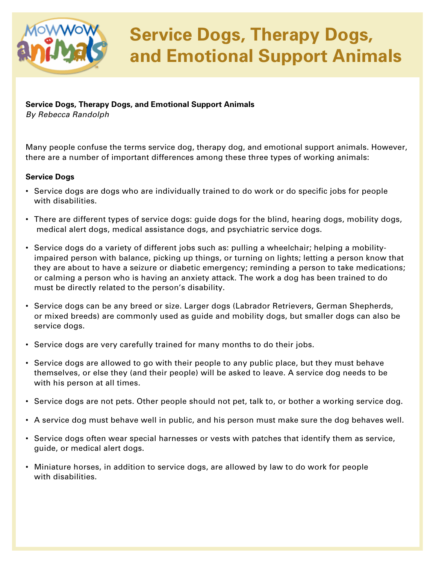

## **Service Dogs, Therapy Dogs, and Emotional Support Animals**

### **Service Dogs, Therapy Dogs, and Emotional Support Animals**

*By Rebecca Randolph*

Many people confuse the terms service dog, therapy dog, and emotional support animals. However, there are a number of important differences among these three types of working animals:

### **Service Dogs**

- Service dogs are dogs who are individually trained to do work or do specific jobs for people with disabilities.
- There are different types of service dogs: guide dogs for the blind, hearing dogs, mobility dogs, medical alert dogs, medical assistance dogs, and psychiatric service dogs.
- Service dogs do a variety of different jobs such as: pulling a wheelchair; helping a mobility impaired person with balance, picking up things, or turning on lights; letting a person know that they are about to have a seizure or diabetic emergency; reminding a person to take medications; or calming a person who is having an anxiety attack. The work a dog has been trained to do must be directly related to the person's disability.
- Service dogs can be any breed or size. Larger dogs (Labrador Retrievers, German Shepherds, or mixed breeds) are commonly used as guide and mobility dogs, but smaller dogs can also be service dogs.
- Service dogs are very carefully trained for many months to do their jobs.
- Service dogs are allowed to go with their people to any public place, but they must behave themselves, or else they (and their people) will be asked to leave. A service dog needs to be with his person at all times.
- Service dogs are not pets. Other people should not pet, talk to, or bother a working service dog.
- A service dog must behave well in public, and his person must make sure the dog behaves well.
- Service dogs often wear special harnesses or vests with patches that identify them as service, guide, or medical alert dogs.
- Miniature horses, in addition to service dogs, are allowed by law to do work for people with disabilities.